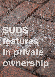# Teature. . In private ownership

SU DIS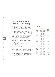# **SUDS features in private ownership**

As explained in the earlier parts of this guide, Cambridge City Council will require source control SUDS to be provided upstream of any ponds, wetlands, basins or other SUDS features it adopts. Most source control features will be located within the private or highway areas of a development and as such will not be adopted by the City Council. The purpose of source control is to manage rainfall close to where it hits the ground instead of allowing it to become a problem elsewhere. The main types of source control that will be used in private areas are:

- Green roofs
- Permeable pavements
- Soakaways
- Geocellular storage

Other features such as filter strips, swales, canals, rills and treatment channels can also be used as source control in private areas. Water re-use features such as water butts or more comprehensive water harvesting systems are also useful additions to a SUDS system to provide an overall sustainable water management system.

#### **Bene fi ts**

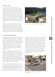## **Green roofs**

Green roofs have a thin layer of soil like material known as substrate that is planted to meet the specific visual and biodiversity requirements of the roof and location. Varying substrate depths are best from visual and biodiversity points of view with thicker areas located over stronger points in a roof such as columns. Simple sedum mats offer the least biodiversity. A roof top can be an inhospitable place for plants and the planting should be designed to suit the roof and the surrounding area.

Green roofs are very effective as part of a SUDS system and can reduce the volume of ground level storage required. Further information on how to allow for the reduced runoff from green roofs can be obtained from Building Greener, published by CIRIA, and the Environment Agency's Green Roof Tool Kit.



*Green roof on a community building, Lake Ledro, Italy*

## **Permeable pavements**

Permeable pavements can be used in driveways, parking areas and some roads. They allow water to soak through the surface into the gravel subbase below. This temporarily holds the water before allowing it to either soak into the ground or pass to an outfall, often to another SUDS feature such as a swale. Permeable pavements are very effective at controlling the flow of water and removing pollution from it.

There are a variety of surfacing materials available. The most common are concrete or clay permeable block paving. Other surfaces include porous asphalt, reinforced grass and gravel. Further information is available in CIRIA Report C582, from Interpave and the Environment Agency. Concrete block permeable paving should be designed in accordance with British Standard BS 7533-13:2009.

It is now law in England that new and refurbished driveways in front gardens must be constructed using permeable surfaces, otherwise planning permission will be required for the construction. Their use in new developments is essential under this legislation. There is common misconception that permeable surfaces quickly clog. Studies in the UK and elsewhere have found that there is a reduction in the permeability of the surface but in normal situations this levels off at a rate that is still more than adequate to deal with UK rainfall. If they become completely clogged they can be cleaned out with a road sweeper using a water jet and suction. Most problems occur due to clogging caused by construction debris or inappropriate levels for the adjacent landscape areas, such that dirt washes onto the surfaces.



*Permeable block paving being machine laid in Cambridgeshire*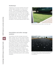#### **Soakaways**

Soakaways are buried chambers that store surface water and allow it to soak into the ground. The potential to use soakaways in many areas of Cambridge will be limited because the presence of clay soils and high groundwater levels. However, where conditions are suitable they can be used to manage water from roofs, driveways and patios for individual houses. Further information is provided in The SUDS Manual (CIRIA C697).



*Reinforced grass car park surface, Lake Garda, Italy*

#### **Geocellular and other storage systems**

Geocellular and other storage (oversized pipes, culverts, etc.) can be used to provide extra storage volume, especially in dense urban areas where open green space is limited. These features if used on their own would not be a SUDs scheme. It should be designed following the principles of source control. Geoecellular storage must be designed so that silt is prevented from entering the tanks. The testing and structural design of geocellular storage systems should follow the guidance in CIRIA Report C680. These types of storage systems can double up as rainwater harvesting systems when carefully designed.



*Shallow geocellular storage used below permeable paving as a subbase replacement at a Park and Ride site in Cambridgeshire*